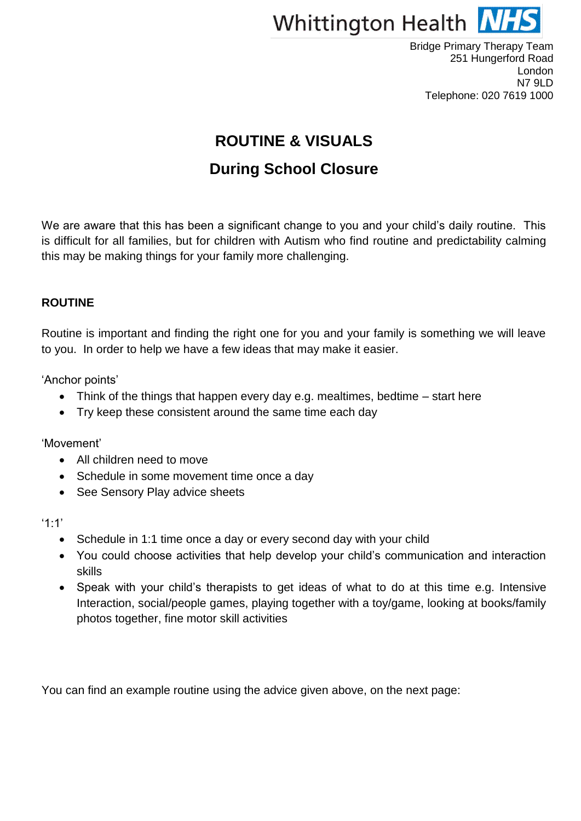

# **ROUTINE & VISUALS**

# **During School Closure**

We are aware that this has been a significant change to you and your child's daily routine. This is difficult for all families, but for children with Autism who find routine and predictability calming this may be making things for your family more challenging.

#### **ROUTINE**

Routine is important and finding the right one for you and your family is something we will leave to you. In order to help we have a few ideas that may make it easier.

'Anchor points'

- Think of the things that happen every day e.g. mealtimes, bedtime start here
- Try keep these consistent around the same time each day

'Movement'

- All children need to move
- Schedule in some movement time once a day
- See Sensory Play advice sheets

'1:1'

- Schedule in 1:1 time once a day or every second day with your child
- You could choose activities that help develop your child's communication and interaction skills
- Speak with your child's therapists to get ideas of what to do at this time e.g. Intensive Interaction, social/people games, playing together with a toy/game, looking at books/family photos together, fine motor skill activities

You can find an example routine using the advice given above, on the next page: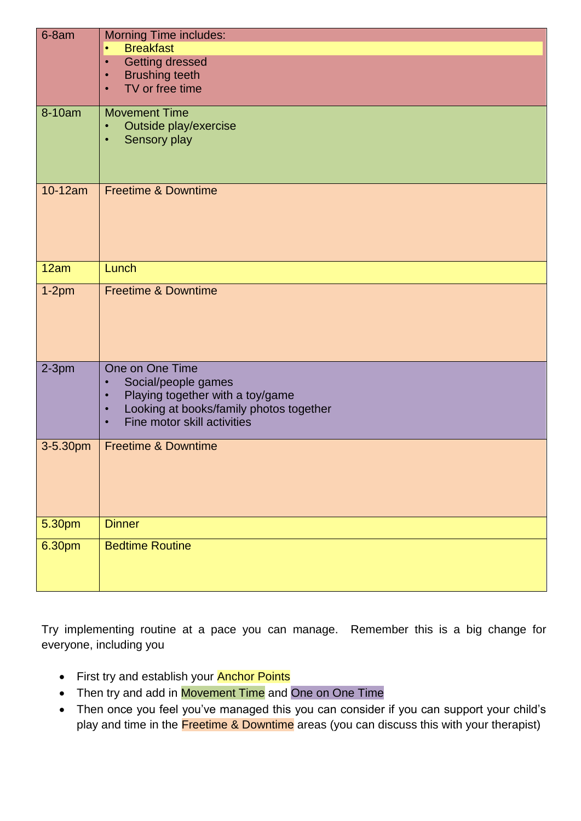| $6-8am$            | <b>Morning Time includes:</b>                                                                         |
|--------------------|-------------------------------------------------------------------------------------------------------|
|                    | <b>Breakfast</b><br>$\bullet$                                                                         |
|                    | <b>Getting dressed</b><br>$\bullet$                                                                   |
|                    | <b>Brushing teeth</b><br>$\bullet$                                                                    |
|                    | TV or free time<br>$\bullet$                                                                          |
| 8-10am             | <b>Movement Time</b>                                                                                  |
|                    | Outside play/exercise                                                                                 |
|                    | Sensory play<br>$\bullet$                                                                             |
|                    |                                                                                                       |
|                    |                                                                                                       |
| 10-12am            | <b>Freetime &amp; Downtime</b>                                                                        |
|                    |                                                                                                       |
|                    |                                                                                                       |
|                    |                                                                                                       |
|                    |                                                                                                       |
| 12am               | Lunch                                                                                                 |
| $1-2pm$            | <b>Freetime &amp; Downtime</b>                                                                        |
|                    |                                                                                                       |
|                    |                                                                                                       |
|                    |                                                                                                       |
|                    |                                                                                                       |
| $2-3pm$            | One on One Time                                                                                       |
|                    | Social/people games<br>$\bullet$                                                                      |
|                    | Playing together with a toy/game<br>$\bullet$<br>Looking at books/family photos together<br>$\bullet$ |
|                    | Fine motor skill activities<br>$\bullet$                                                              |
|                    |                                                                                                       |
| 3-5.30pm           | <b>Freetime &amp; Downtime</b>                                                                        |
|                    |                                                                                                       |
|                    |                                                                                                       |
|                    |                                                                                                       |
| 5.30 <sub>pm</sub> | <b>Dinner</b>                                                                                         |
| 6.30pm             | <b>Bedtime Routine</b>                                                                                |
|                    |                                                                                                       |
|                    |                                                                                                       |
|                    |                                                                                                       |

Try implementing routine at a pace you can manage. Remember this is a big change for everyone, including you

- First try and establish your **Anchor Points**
- Then try and add in Movement Time and One on One Time
- Then once you feel you've managed this you can consider if you can support your child's play and time in the Freetime & Downtime areas (you can discuss this with your therapist)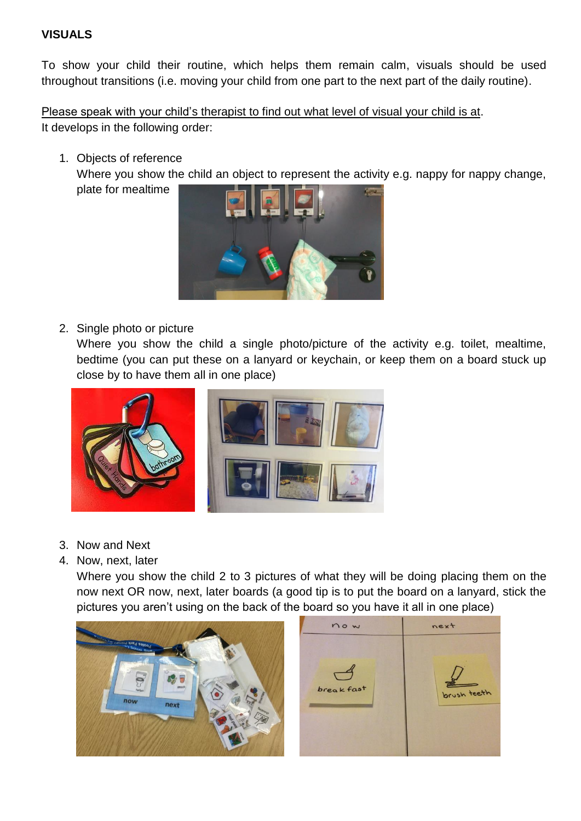#### **VISUALS**

To show your child their routine, which helps them remain calm, visuals should be used throughout transitions (i.e. moving your child from one part to the next part of the daily routine).

Please speak with your child's therapist to find out what level of visual your child is at. It develops in the following order:

1. Objects of reference

Where you show the child an object to represent the activity e.g. nappy for nappy change, plate for mealtime



2. Single photo or picture

Where you show the child a single photo/picture of the activity e.g. toilet, mealtime, bedtime (you can put these on a lanyard or keychain, or keep them on a board stuck up close by to have them all in one place)



- 3. Now and Next
- 4. Now, next, later

Where you show the child 2 to 3 pictures of what they will be doing placing them on the now next OR now, next, later boards (a good tip is to put the board on a lanyard, stick the pictures you aren't using on the back of the board so you have it all in one place)



now next